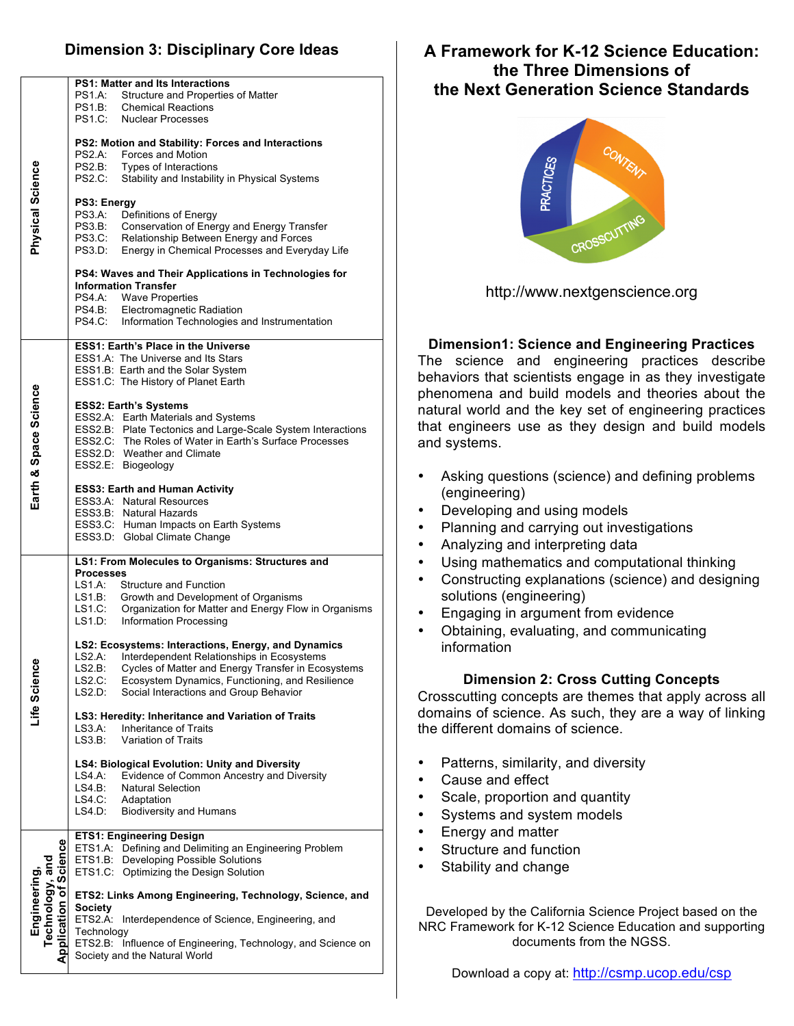## **Dimension 3: Disciplinary Core Ideas**

| <b>PS1: Matter and Its Interactions</b><br><b>PS1.A:</b><br>Structure and Properties of Matter<br><b>PS1.B:</b><br><b>Chemical Reactions</b><br><b>PS1.C:</b><br><b>Nuclear Processes</b><br>PS2: Motion and Stability: Forces and Interactions<br>PS2.A:<br><b>Forces and Motion</b><br>Physical Science<br><b>PS2.B:</b><br>Types of Interactions<br><b>PS2.C:</b><br>Stability and Instability in Physical Systems<br>PS3: Energy<br><b>PS3.A:</b><br>Definitions of Energy<br><b>PS3.B:</b><br>Conservation of Energy and Energy Transfer<br><b>PS3.C:</b><br>Relationship Between Energy and Forces<br>PS3.D:<br>Energy in Chemical Processes and Everyday Life<br>PS4: Waves and Their Applications in Technologies for<br><b>Information Transfer</b><br>PS4.A: Wave Properties<br>PS4.B: Electromagnetic Radiation<br>PS4.C: Information Technologies and Instrumentation<br><b>ESS1: Earth's Place in the Universe</b><br>ESS1.A: The Universe and Its Stars<br>ESS1.B: Earth and the Solar System<br>ESS1.C: The History of Planet Earth<br>Earth & Space Science<br><b>ESS2: Earth's Systems</b><br>ESS2.A: Earth Materials and Systems<br>ESS2.B: Plate Tectonics and Large-Scale System Interactions<br>ESS2.C: The Roles of Water in Earth's Surface Processes<br>ESS2.D: Weather and Climate<br>ESS2.E: Biogeology<br><b>ESS3: Earth and Human Activity</b><br>ESS3.A: Natural Resources<br>ESS3.B: Natural Hazards<br>ESS3.C: Human Impacts on Earth Systems<br>ESS3.D: Global Climate Change<br>LS1: From Molecules to Organisms: Structures and<br><b>Processes</b><br>LS1.A:<br><b>Structure and Function</b><br>LS1.B:<br>Growth and Development of Organisms<br>Organization for Matter and Energy Flow in Organisms<br>LS1.C:<br>LS1.D:<br>Information Processing<br>LS2: Ecosystems: Interactions, Energy, and Dynamics<br>LS2.A:<br>Interdependent Relationships in Ecosystems<br>Life Science<br>LS2.B:<br>Cycles of Matter and Energy Transfer in Ecosystems<br>Ecosystem Dynamics, Functioning, and Resilience<br>LS2.C:<br>LS2.D:<br>Social Interactions and Group Behavior<br>LS3: Heredity: Inheritance and Variation of Traits<br>$LS3.A$ :<br><b>Inheritance of Traits</b><br>LS3.B:<br>Variation of Traits<br>LS4: Biological Evolution: Unity and Diversity<br>Evidence of Common Ancestry and Diversity<br>LS4 A:<br>LS4.B:<br><b>Natural Selection</b><br>LS4.C:<br>Adaptation<br>LS4.D:<br><b>Biodiversity and Humans</b><br><b>ETS1: Engineering Design</b><br>Science<br>ETS1.A: Defining and Delimiting an Engineering Problem<br>ETS1.B:<br>Developing Possible Solutions<br>Technology, and<br>ETS1.C:<br>Optimizing the Design Solution<br><b>Engineering</b><br>ETS2: Links Among Engineering, Technology, Science, and<br><b>Society</b><br>ETS2.A: Interdependence of Science, Engineering, and<br>Technology<br>ETS2.B: Influence of Engineering, Technology, and Science on<br>Society and the Natural World |                |  |
|--------------------------------------------------------------------------------------------------------------------------------------------------------------------------------------------------------------------------------------------------------------------------------------------------------------------------------------------------------------------------------------------------------------------------------------------------------------------------------------------------------------------------------------------------------------------------------------------------------------------------------------------------------------------------------------------------------------------------------------------------------------------------------------------------------------------------------------------------------------------------------------------------------------------------------------------------------------------------------------------------------------------------------------------------------------------------------------------------------------------------------------------------------------------------------------------------------------------------------------------------------------------------------------------------------------------------------------------------------------------------------------------------------------------------------------------------------------------------------------------------------------------------------------------------------------------------------------------------------------------------------------------------------------------------------------------------------------------------------------------------------------------------------------------------------------------------------------------------------------------------------------------------------------------------------------------------------------------------------------------------------------------------------------------------------------------------------------------------------------------------------------------------------------------------------------------------------------------------------------------------------------------------------------------------------------------------------------------------------------------------------------------------------------------------------------------------------------------------------------------------------------------------------------------------------------------------------------------------------------------------------------------------------------------------------------------------------------------------------------------------------------------------------------------------------------------------------------------------------------------------------------------------------------------------------------------------------------|----------------|--|
|                                                                                                                                                                                                                                                                                                                                                                                                                                                                                                                                                                                                                                                                                                                                                                                                                                                                                                                                                                                                                                                                                                                                                                                                                                                                                                                                                                                                                                                                                                                                                                                                                                                                                                                                                                                                                                                                                                                                                                                                                                                                                                                                                                                                                                                                                                                                                                                                                                                                                                                                                                                                                                                                                                                                                                                                                                                                                                                                                              |                |  |
|                                                                                                                                                                                                                                                                                                                                                                                                                                                                                                                                                                                                                                                                                                                                                                                                                                                                                                                                                                                                                                                                                                                                                                                                                                                                                                                                                                                                                                                                                                                                                                                                                                                                                                                                                                                                                                                                                                                                                                                                                                                                                                                                                                                                                                                                                                                                                                                                                                                                                                                                                                                                                                                                                                                                                                                                                                                                                                                                                              |                |  |
|                                                                                                                                                                                                                                                                                                                                                                                                                                                                                                                                                                                                                                                                                                                                                                                                                                                                                                                                                                                                                                                                                                                                                                                                                                                                                                                                                                                                                                                                                                                                                                                                                                                                                                                                                                                                                                                                                                                                                                                                                                                                                                                                                                                                                                                                                                                                                                                                                                                                                                                                                                                                                                                                                                                                                                                                                                                                                                                                                              |                |  |
|                                                                                                                                                                                                                                                                                                                                                                                                                                                                                                                                                                                                                                                                                                                                                                                                                                                                                                                                                                                                                                                                                                                                                                                                                                                                                                                                                                                                                                                                                                                                                                                                                                                                                                                                                                                                                                                                                                                                                                                                                                                                                                                                                                                                                                                                                                                                                                                                                                                                                                                                                                                                                                                                                                                                                                                                                                                                                                                                                              |                |  |
|                                                                                                                                                                                                                                                                                                                                                                                                                                                                                                                                                                                                                                                                                                                                                                                                                                                                                                                                                                                                                                                                                                                                                                                                                                                                                                                                                                                                                                                                                                                                                                                                                                                                                                                                                                                                                                                                                                                                                                                                                                                                                                                                                                                                                                                                                                                                                                                                                                                                                                                                                                                                                                                                                                                                                                                                                                                                                                                                                              |                |  |
|                                                                                                                                                                                                                                                                                                                                                                                                                                                                                                                                                                                                                                                                                                                                                                                                                                                                                                                                                                                                                                                                                                                                                                                                                                                                                                                                                                                                                                                                                                                                                                                                                                                                                                                                                                                                                                                                                                                                                                                                                                                                                                                                                                                                                                                                                                                                                                                                                                                                                                                                                                                                                                                                                                                                                                                                                                                                                                                                                              |                |  |
|                                                                                                                                                                                                                                                                                                                                                                                                                                                                                                                                                                                                                                                                                                                                                                                                                                                                                                                                                                                                                                                                                                                                                                                                                                                                                                                                                                                                                                                                                                                                                                                                                                                                                                                                                                                                                                                                                                                                                                                                                                                                                                                                                                                                                                                                                                                                                                                                                                                                                                                                                                                                                                                                                                                                                                                                                                                                                                                                                              |                |  |
|                                                                                                                                                                                                                                                                                                                                                                                                                                                                                                                                                                                                                                                                                                                                                                                                                                                                                                                                                                                                                                                                                                                                                                                                                                                                                                                                                                                                                                                                                                                                                                                                                                                                                                                                                                                                                                                                                                                                                                                                                                                                                                                                                                                                                                                                                                                                                                                                                                                                                                                                                                                                                                                                                                                                                                                                                                                                                                                                                              |                |  |
|                                                                                                                                                                                                                                                                                                                                                                                                                                                                                                                                                                                                                                                                                                                                                                                                                                                                                                                                                                                                                                                                                                                                                                                                                                                                                                                                                                                                                                                                                                                                                                                                                                                                                                                                                                                                                                                                                                                                                                                                                                                                                                                                                                                                                                                                                                                                                                                                                                                                                                                                                                                                                                                                                                                                                                                                                                                                                                                                                              |                |  |
|                                                                                                                                                                                                                                                                                                                                                                                                                                                                                                                                                                                                                                                                                                                                                                                                                                                                                                                                                                                                                                                                                                                                                                                                                                                                                                                                                                                                                                                                                                                                                                                                                                                                                                                                                                                                                                                                                                                                                                                                                                                                                                                                                                                                                                                                                                                                                                                                                                                                                                                                                                                                                                                                                                                                                                                                                                                                                                                                                              |                |  |
|                                                                                                                                                                                                                                                                                                                                                                                                                                                                                                                                                                                                                                                                                                                                                                                                                                                                                                                                                                                                                                                                                                                                                                                                                                                                                                                                                                                                                                                                                                                                                                                                                                                                                                                                                                                                                                                                                                                                                                                                                                                                                                                                                                                                                                                                                                                                                                                                                                                                                                                                                                                                                                                                                                                                                                                                                                                                                                                                                              |                |  |
|                                                                                                                                                                                                                                                                                                                                                                                                                                                                                                                                                                                                                                                                                                                                                                                                                                                                                                                                                                                                                                                                                                                                                                                                                                                                                                                                                                                                                                                                                                                                                                                                                                                                                                                                                                                                                                                                                                                                                                                                                                                                                                                                                                                                                                                                                                                                                                                                                                                                                                                                                                                                                                                                                                                                                                                                                                                                                                                                                              | Application of |  |
|                                                                                                                                                                                                                                                                                                                                                                                                                                                                                                                                                                                                                                                                                                                                                                                                                                                                                                                                                                                                                                                                                                                                                                                                                                                                                                                                                                                                                                                                                                                                                                                                                                                                                                                                                                                                                                                                                                                                                                                                                                                                                                                                                                                                                                                                                                                                                                                                                                                                                                                                                                                                                                                                                                                                                                                                                                                                                                                                                              |                |  |

# **A Framework for K-12 Science Education: the Three Dimensions of the Next Generation Science Standards**



http://www.nextgenscience.org

#### **Dimension1: Science and Engineering Practices**

The science and engineering practices describe behaviors that scientists engage in as they investigate phenomena and build models and theories about the natural world and the key set of engineering practices that engineers use as they design and build models and systems.

- Asking questions (science) and defining problems (engineering)
- Developing and using models
- Planning and carrying out investigations
- Analyzing and interpreting data
- Using mathematics and computational thinking
- Constructing explanations (science) and designing solutions (engineering)
- Engaging in argument from evidence
- Obtaining, evaluating, and communicating information

#### **Dimension 2: Cross Cutting Concepts**

Crosscutting concepts are themes that apply across all domains of science. As such, they are a way of linking the different domains of science.

- Patterns, similarity, and diversity
- Cause and effect
- Scale, proportion and quantity
- Systems and system models
- Energy and matter
- Structure and function
- Stability and change

Developed by the California Science Project based on the NRC Framework for K-12 Science Education and supporting documents from the NGSS.